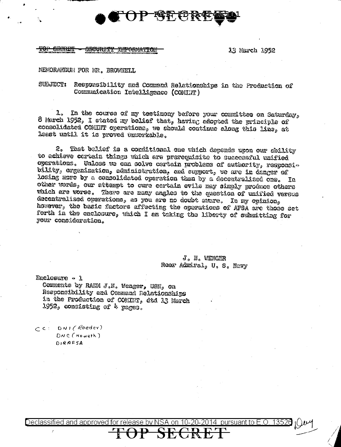

#### <del>JURXTY</del> <del>TMFORWATI</del>

13 March 1952

pursuant to E.O. 13526

# MENORAKUNIN FOR MR. BROWNELL

## SULJECT: Responsibility and Command Relationships in the Production of Communication Intelligence (COMINT)

1. In the course of my testimony before your committee on Saturday, 8 March 1952, I stated my belief that, having adopted the grinciple of consolidated COMINT operations, we should continue along this line, at least until it is proved unworkable.

2. That balief is a conditional one which depends upon our ability to achieve cortain things which are prerequisite to successful unified operations. Unless we can solve certain problems of authority, responsibility, exgenization, administration, and support, we are in danger of losing more by a consolidated operation than by a decemtralized one. In other words, our attempt to cure certain evils may simply produce others which are worse. There are many angles to the question of unified versus decentralized operations, as you are no doubt avare. In my opinion, however, the basic factors affecting the operations of AFSA are those set forth in the enclosure, which I am taking the liberty of submitting for your consideration.

nn

J. N. WENGER Rear Admiral, U. S. Navy

Enclosure - 1 Comments by RADM J.N. Wenger, USN, on Responsibility and Command Relationships in the Production of COMINT, dtd 13 March 1952, consisting of 4 mages.

 $C$  C: DNI (Roeder)  $DNC($  Howeth  $)$ DIRAFSA

Declassified and approved for release by N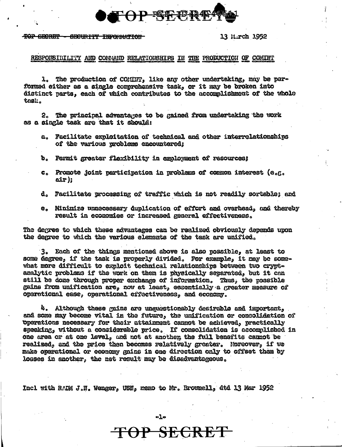**D-欧洲地** 

### TOP SECRET - SECURITY INFORMATION

## 13 Mirch 1952

## RESPONSIBILITY AND COMMAND RELATIONSHIPS IN THE PRODUCTION OF COMINT

1. The production of COMINT, like any other undertaking, may be performed either as a single comprehensive task, or it may be broken into distinct parts. each of which contributes to the accomplishment of the whole task.

2. The principal advantages to be gained from undertaking the work as a single task are that it should:

- a. Facilitate exploitation of technical and other interrelationships of the various problems encountered;
- b. Fermit greater flexibility in employment of resources;
- c. Promote joint participation in problems of common interest (e.g.  $exp$ );
- d. Facilitate processing of traffic which is not readily sortable; and
- e. Minimize unnecessary duplication of effort and overhead, and thereby result in economies or increased general effectiveness.

The degree to which these advantages can be realized obviously depends upon the degree to which the various elements of the task are unified.

3. Each of the things mentioned above is also possible, at least to some degree, if the task is properly divided. For example, it may be somewhat more difficult to exploit technical relationships between two cryptenalytic problems if the work on them is physically separated. but it can still be doze through proper exchange of information. Thus, the possible gains from unification are, now at least, escentially a greater measure of operational ease, operational effectiveness, and economy.

4. Although these gains are unquestionably desirable and important, and some may become vital in the future, the unification or consolidation of Operations nacessary for their attainment cannot be achieved, practically speaking, without a considerable price. If consolidation is accomplished in one area or at one level, and not at another, the full benefits cannot be realized, and the price then becomes relatively greater. Moreover, if we make operational or econcay gains in one direction only to offset them by losses in another, the net result may be disedvantageous.

Incl with RADM J.N. Wenger, USN, memo to Mr. Rrownell, dtd 13 Mar 1952

TOP SECRE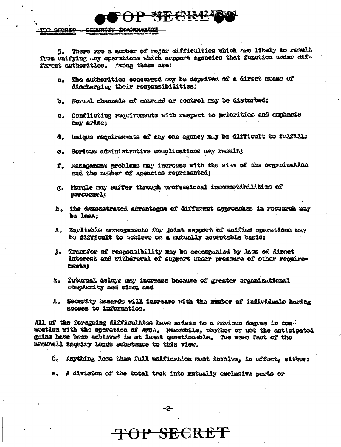**SECURITY** 

<u>top gropro</u>

There are a number of major difficulties which are likely to result from unifying any operations which support agencies that function under different authorities. Among these are:

— КЕТ<del>І І І І І І</del>

- The authorities concerned may be deprived of a direct means of  $\mathbf{a}_\bullet$ discharging their responsibilities;
- b. Normal channels of commund or control may be disturbed;
- c. Conflicting requirements with respect to priorities and emphasis may arise;
- Unique requirements of any one agency may be difficult to fulfill; d.
- Serious administrative complications may result;  $\mathbf{Q}_{\sigma}$
- Management probleme may increase with the size of the organization t. and the number of agencies represented;
- Morale may suffer through professional incompatibilities of g. perconnel:
- h. The demonstrated advantages of different approaches in research may be lost:
- 1. Equitable arrangements for joint support of unified operations may be difficult to achieve on a mutually acceptable basis:
- Transfer of responsibility may be accompunied by loss of direct J. interest and withdraval of support under pressure of other requiremonte:
- k. Internal delays may increase because of greater organisational complexity and sizes and
- 1. Security hasards will izcrease with the number of individuals having access to information.

All of the foregoing difficulties have arisen to a serious degree in connection with the operation of AFSA. Meanwhile, whother or not the anticipated gains have been achieved is at least questionable. The mere fact of the Brownell inquiry lends substance to this view.

- 6. Anything less than full unification must involve, in effect, either:
- A division of the total task into mutually exclusive parts or  $a<sub>o</sub>$

**TOP SECRE**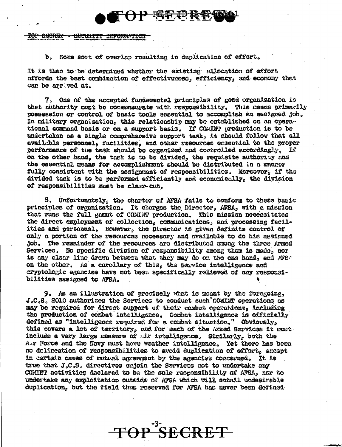AMARIA SECURITY INFORMATION

# b. Some sort of overlap resulting in duplication of effort.

It is then to be determined whether the existing allocation of effort affords the best combination of effectiveness, efficiency, and economy that can be arrived at.

**D 晚好的核年** 

7. One of the accepted fundamental principles of good organization is that authority must be commensurate with responsibility. This means primarily possession or control of basic tools essential to accomplish an assigned job. In military organization, this relationship may be established on an operational command basis or on a support basis. If COMINT production is to be undertaken as a single comprehensive support task, it should follow that all available personnel, facilities, and other resources essential to the proper performance of the task should be organized and controlled accordingly. If. on the other hand, the task is to be divided, the requisite authority and the essential means for accomplishment should be distributed in a manner fully consistent with the assignment of responsibilities. Moreover, if the divided task is to be performed efficiently and economically, the division of responsibilities must be clear-cut.

8. Unfortunately, the charter of AFSA fails to conform to these basic principles of organization. It charges the Director, AFSA, with a mission that runs the full gamut of COMINT production. This mission necessitates the direct exployment of collection, communications, and processing facilities and personnel. However, the Director is given definite control of only a portion of the resources necessary and available to do his assigned job. The remainder of the resources are distributed among the three Armed Services. No specific division of responsibility among them is made, nor is any clear line drawn between what they may do on the one hand, and AFS. on the other. As a corollary of this, the Service intelligence and cryptologic agencies have not been specifically relieved of any responsibilities assigned to AFSA.

9. As an illustration of precisely what is meant by the foregoing, J.C.S. 2010 authorizes the Services to conduct such COMINT operations as may be required for direct support of their combat operations, including the production of combat intelligence. Combat intelligence is officially defined as "intelligence required for a combat situation." Obviously, this covers a lot of territory, and for each of the Armed Services it must include a very large measure of uir intelligence. Similarly, both the A.r Force and the Navy must have weather intelligence. Yet there has been no delineation of responsibilities to avoid duplication of effort, except in certain cases of mutual agreement by the agencies concerned. It is true that J.C.S. directives enjoin the Services not to undertake any COMINT activities declared to be the sole responsibility of AFBA, nor to undertake any exploitation outside of AFSA which will entail undesirable duplication, but the field thus reserved for AFSA has never been defined

SECRET